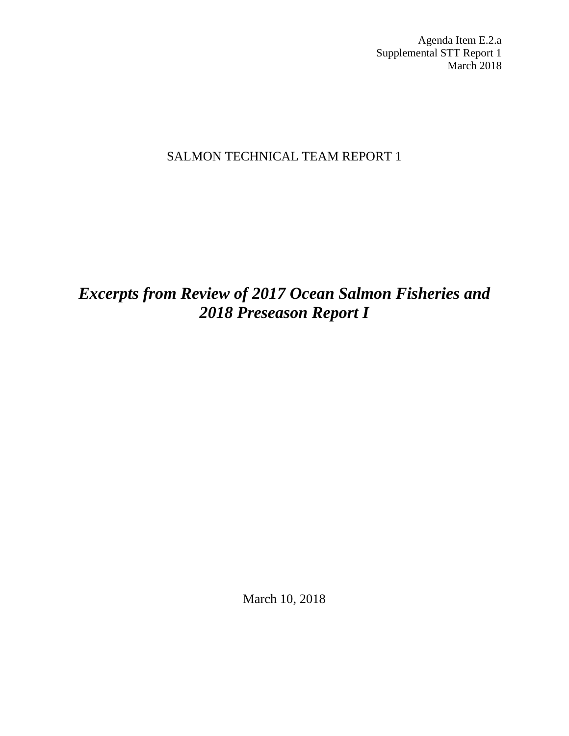Agenda Item E.2.a Supplemental STT Report 1 March 2018

## SALMON TECHNICAL TEAM REPORT 1

## *Excerpts from Review of 2017 Ocean Salmon Fisheries and 2018 Preseason Report I*

March 10, 2018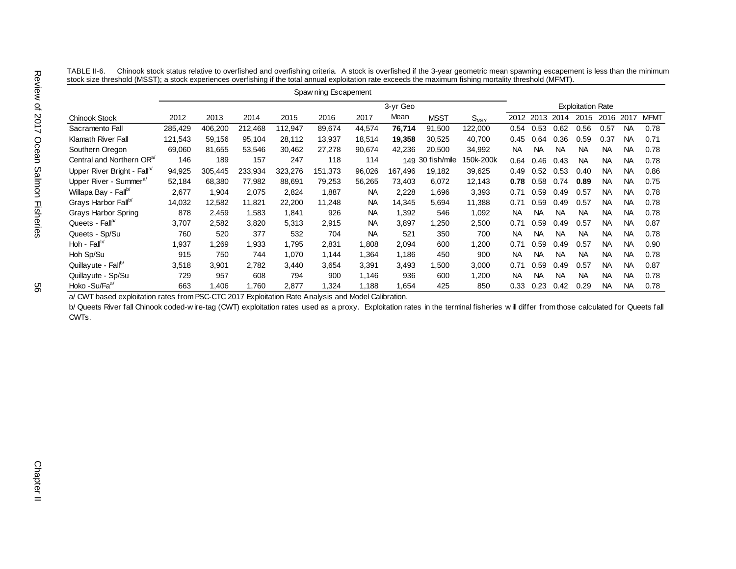|                                        | Spaw ning Escapement |         |         |         |         |           |          |              |                             |                          |           |           |           |           |           |             |
|----------------------------------------|----------------------|---------|---------|---------|---------|-----------|----------|--------------|-----------------------------|--------------------------|-----------|-----------|-----------|-----------|-----------|-------------|
|                                        |                      |         |         |         |         |           | 3-yr Geo |              |                             | <b>Exploitation Rate</b> |           |           |           |           |           |             |
| Chinook Stock                          | 2012                 | 2013    | 2014    | 2015    | 2016    | 2017      | Mean     | <b>MSST</b>  | $\mathsf{S}_{\mathsf{MSY}}$ | 2012                     | 2013      | 2014      | 2015      | 2016      | 2017      | <b>MFMT</b> |
| Sacramento Fall                        | 285,429              | 406,200 | 212,468 | 112,947 | 89,674  | 44,574    | 76,714   | 91,500       | 122,000                     | 0.54                     | 0.53      | 0.62      | 0.56      | 0.57      | <b>NA</b> | 0.78        |
| Klamath River Fall                     | 121,543              | 59,156  | 95,104  | 28,112  | 13,937  | 18,514    | 19,358   | 30,525       | 40,700                      | 0.45                     | 0.64      | 0.36      | 0.59      | 0.37      | <b>NA</b> | 0.71        |
| Southern Oregon                        | 69,060               | 81,655  | 53,546  | 30,462  | 27,278  | 90,674    | 42,236   | 20,500       | 34,992                      | <b>NA</b>                | <b>NA</b> | <b>NA</b> | <b>NA</b> | <b>NA</b> | <b>NA</b> | 0.78        |
| Central and Northern OR <sup>a/</sup>  | 146                  | 189     | 157     | 247     | 118     | 114       | 149      | 30 fish/mile | 50k-200k                    | 0.64                     | 0.46      | 0.43      | <b>NA</b> | <b>NA</b> | <b>NA</b> | 0.78        |
| Upper River Bright - Fall <sup>a</sup> | 94,925               | 305,445 | 233,934 | 323,276 | 151,373 | 96,026    | 167.496  | 19.182       | 39,625                      | 0.49                     | 0.52      | 0.53      | 0.40      | <b>NA</b> | <b>NA</b> | 0.86        |
| Upper River - Summer <sup>a/</sup>     | 52,184               | 68,380  | 77,982  | 88,691  | 79,253  | 56,265    | 73.403   | 6,072        | 12,143                      | 0.78                     | 0.58      | 0.74      | 0.89      | <b>NA</b> | <b>NA</b> | 0.75        |
| Willapa Bay - Fallb/                   | 2,677                | 1,904   | 2,075   | 2,824   | 1,887   | NA.       | 2,228    | 1,696        | 3,393                       | 0.71                     | 0.59      | 0.49      | 0.57      | <b>NA</b> | <b>NA</b> | 0.78        |
| Grays Harbor Fallb/                    | 14,032               | 12,582  | 11,821  | 22,200  | 11,248  | <b>NA</b> | 14,345   | 5,694        | 11,388                      | 0.71                     | 0.59      | 0.49      | 0.57      | <b>NA</b> | <b>NA</b> | 0.78        |
| Grays Harbor Spring                    | 878                  | 2,459   | 1,583   | 1,841   | 926     | <b>NA</b> | 1,392    | 546          | 1,092                       | <b>NA</b>                | <b>NA</b> | <b>NA</b> | <b>NA</b> | <b>NA</b> | <b>NA</b> | 0.78        |
| Queets - Fall <sup>a/</sup>            | 3,707                | 2,582   | 3,820   | 5,313   | 2,915   | <b>NA</b> | 3,897    | 1,250        | 2,500                       | 0.71                     | 0.59      | 0.49      | 0.57      | <b>NA</b> | <b>NA</b> | 0.87        |
| Queets - Sp/Su                         | 760                  | 520     | 377     | 532     | 704     | <b>NA</b> | 521      | 350          | 700                         | <b>NA</b>                | <b>NA</b> | <b>NA</b> | <b>NA</b> | <b>NA</b> | <b>NA</b> | 0.78        |
| Hoh - $Fallb$                          | 1,937                | 1,269   | 1,933   | 1,795   | 2,831   | 1,808     | 2,094    | 600          | 1,200                       | 0.71                     | 0.59      | 0.49      | 0.57      | <b>NA</b> | <b>NA</b> | 0.90        |
| Hoh Sp/Su                              | 915                  | 750     | 744     | 1,070   | 1,144   | 1,364     | 1,186    | 450          | 900                         | <b>NA</b>                | <b>NA</b> | <b>NA</b> | <b>NA</b> | <b>NA</b> | <b>NA</b> | 0.78        |
| Quillayute - Fall <sup>b/</sup>        | 3,518                | 3,901   | 2,782   | 3,440   | 3,654   | 3,391     | 3,493    | 1,500        | 3,000                       | 0.71                     | 0.59      | 0.49      | 0.57      | <b>NA</b> | <b>NA</b> | 0.87        |
| Quillayute - Sp/Su                     | 729                  | 957     | 608     | 794     | 900     | 1,146     | 936      | 600          | 1,200                       | <b>NA</b>                | <b>NA</b> | <b>NA</b> | <b>NA</b> | <b>NA</b> | <b>NA</b> | 0.78        |
| Hoko - Su/Fa <sup>a/</sup>             | 663                  | .406    | 1,760   | 2,877   | 1,324   | 1,188     | 1,654    | 425          | 850                         | 0.33                     | 0.23      | 0.42      | 0.29      | <b>NA</b> | <b>NA</b> | 0.78        |

TABLE II-6. Chinook stock status relative to overfished and overfishing criteria. A stock is overfished if the 3-year geometric mean spawning escapement is less than the minimum stock size threshold (MSST); a stock experiences overfishing if the total annual exploitation rate exceeds the maximum fishing mortality threshold (MFMT).

a/ CWT based exploitation rates from PSC-CTC 2017 Exploitation Rate Analysis and Model Calibration.

b/ Queets River fall Chinook coded-w ire-tag (CWT) exploitation rates used as a proxy. Exploitation rates in the terminal fisheries will differ from those calculated for Queets fall CWTs.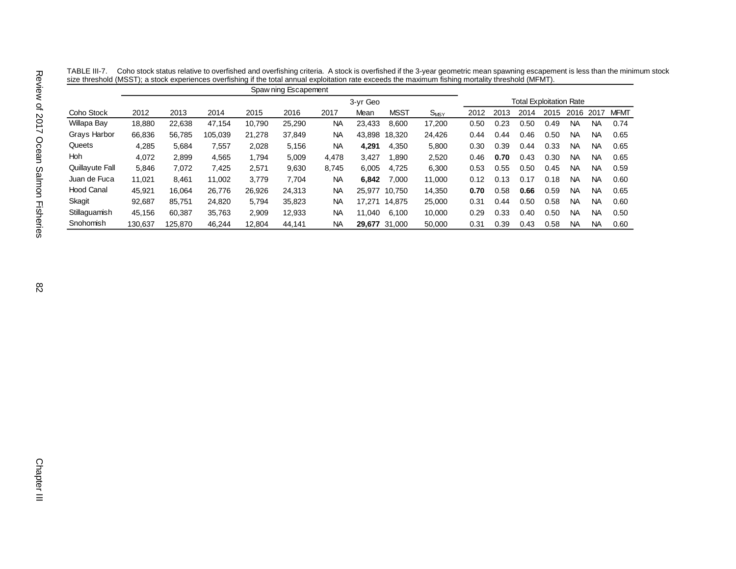|                   | Spaw ning Escapement |         |         |        |        |           |               |             |           |                                |      |      |      |           |           |             |  |  |
|-------------------|----------------------|---------|---------|--------|--------|-----------|---------------|-------------|-----------|--------------------------------|------|------|------|-----------|-----------|-------------|--|--|
|                   |                      |         |         |        |        |           | 3-yr Geo      |             |           | <b>Total Exploitation Rate</b> |      |      |      |           |           |             |  |  |
| Coho Stock        | 2012                 | 2013    | 2014    | 2015   | 2016   | 2017      | Mean          | <b>MSST</b> | $S_{MSY}$ | 2012                           | 2013 | 2014 | 2015 | 2016      | 2017      | <b>MFMT</b> |  |  |
| Willapa Bay       | 18,880               | 22,638  | 47.154  | 10,790 | 25,290 | <b>NA</b> | 23,433        | 8,600       | 17,200    | 0.50                           | 0.23 | 0.50 | 0.49 | NA.       | <b>NA</b> | 0.74        |  |  |
| Grays Harbor      | 66,836               | 56,785  | 105.039 | 21,278 | 37.849 | <b>NA</b> | 43.898        | 18,320      | 24,426    | 0.44                           | 0.44 | 0.46 | 0.50 | NA.       | <b>NA</b> | 0.65        |  |  |
| Queets            | 4,285                | 5,684   | 7,557   | 2,028  | 5,156  | <b>NA</b> | 4,291         | 4,350       | 5,800     | 0.30                           | 0.39 | 0.44 | 0.33 | NА        | <b>NA</b> | 0.65        |  |  |
| <b>Hoh</b>        | 4.072                | 2,899   | 4,565   | 1.794  | 5.009  | 4,478     | 3,427         | .890        | 2,520     | 0.46                           | 0.70 | 0.43 | 0.30 | NA.       | <b>NA</b> | 0.65        |  |  |
| Quillayute Fall   | 5.846                | 7,072   | 7,425   | 2,571  | 9,630  | 8,745     | 6,005         | 4,725       | 6,300     | 0.53                           | 0.55 | 0.50 | 0.45 | NA.       | NA        | 0.59        |  |  |
| Juan de Fuca      | 11.021               | 8,461   | 11.002  | 3,779  | 7,704  | ΝA        | 6,842         | 7.000       | 11,000    | 0.12                           | 0.13 | 0.17 | 0.18 | NA.       | <b>NA</b> | 0.60        |  |  |
| <b>Hood Canal</b> | 45.921               | 16.064  | 26.776  | 26,926 | 24.313 | ΝA        | 25.977 10.750 |             | 14,350    | 0.70                           | 0.58 | 0.66 | 0.59 | <b>NA</b> | NA        | 0.65        |  |  |
| Skagit            | 92,687               | 85.751  | 24.820  | 5,794  | 35.823 | <b>NA</b> | 17.271 14.875 |             | 25,000    | 0.31                           | 0.44 | 0.50 | 0.58 | <b>NA</b> | <b>NA</b> | 0.60        |  |  |
| Stillaquamish     | 45.156               | 60.387  | 35.763  | 2.909  | 12.933 | <b>NA</b> | 11.040        | 6.100       | 10.000    | 0.29                           | 0.33 | 0.40 | 0.50 | NА        | <b>NA</b> | 0.50        |  |  |
| Snohomish         | 130.637              | 125.870 | 46.244  | 12.804 | 44.141 | <b>NA</b> | 29.677 31.000 |             | 50,000    | 0.31                           | 0.39 | 0.43 | 0.58 | NA.       | <b>NA</b> | 0.60        |  |  |

TABLE III-7. Coho stock status relative to overfished and overfishing criteria. A stock is overfished if the 3-year geometric mean spawning escapement is less than the minimum stock size threshold (MSST); a stock experiences overfishing if the total annual exploitation rate exceeds the maximum fishing mortality threshold (MFMT).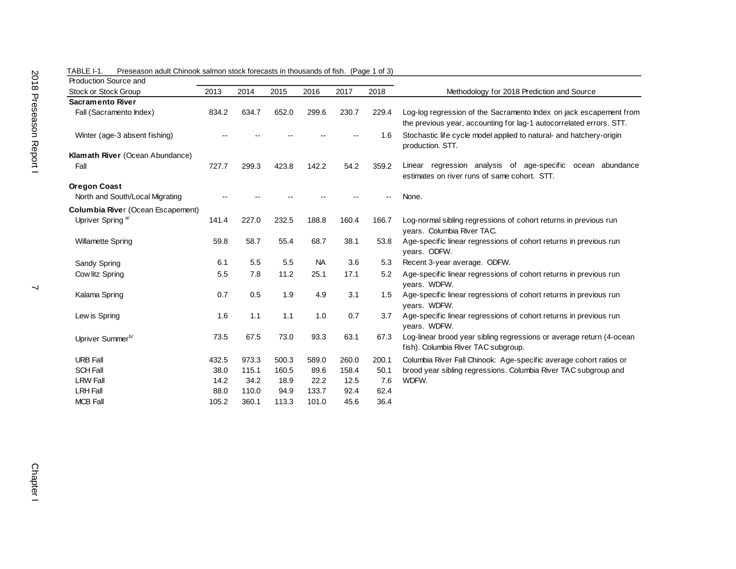| Production Source and                    |       |       |       |           |       |       |                                                                                                                                           |
|------------------------------------------|-------|-------|-------|-----------|-------|-------|-------------------------------------------------------------------------------------------------------------------------------------------|
| Stock or Stock Group                     | 2013  | 2014  | 2015  | 2016      | 2017  | 2018  | Methodology for 2018 Prediction and Source                                                                                                |
| <b>Sacramento River</b>                  |       |       |       |           |       |       |                                                                                                                                           |
| Fall (Sacramento Index)                  | 834.2 | 634.7 | 652.0 | 299.6     | 230.7 | 229.4 | Log-log regression of the Sacramento Index on jack escapement from<br>the previous year, accounting for lag-1 autocorrelated errors. STT. |
| Winter (age-3 absent fishing)            |       |       |       |           |       | 1.6   | Stochastic life cycle model applied to natural- and hatchery-origin<br>production. STT.                                                   |
| Klamath River (Ocean Abundance)          |       |       |       |           |       |       |                                                                                                                                           |
| Fall                                     | 727.7 | 299.3 | 423.8 | 142.2     | 54.2  | 359.2 | Linear regression analysis of age-specific<br>ocean abundance<br>estimates on river runs of same cohort. STT.                             |
| <b>Oregon Coast</b>                      |       |       |       |           |       |       |                                                                                                                                           |
| North and South/Local Migrating          |       |       |       |           |       |       | None.                                                                                                                                     |
| <b>Columbia River (Ocean Escapement)</b> |       |       |       |           |       |       |                                                                                                                                           |
| Upriver Spring <sup>a/</sup>             | 141.4 | 227.0 | 232.5 | 188.8     | 160.4 | 166.7 | Log-normal sibling regressions of cohort returns in previous run<br>vears. Columbia River TAC.                                            |
| <b>Willamette Spring</b>                 | 59.8  | 58.7  | 55.4  | 68.7      | 38.1  | 53.8  | Age-specific linear regressions of cohort returns in previous run<br>vears. ODFW.                                                         |
| Sandy Spring                             | 6.1   | 5.5   | 5.5   | <b>NA</b> | 3.6   | 5.3   | Recent 3-year average. ODFW.                                                                                                              |
| Cow litz Spring                          | 5.5   | 7.8   | 11.2  | 25.1      | 17.1  | 5.2   | Age-specific linear regressions of cohort returns in previous run<br>vears. WDFW.                                                         |
| Kalama Spring                            | 0.7   | 0.5   | 1.9   | 4.9       | 3.1   | 1.5   | Age-specific linear regressions of cohort returns in previous run<br>years. WDFW.                                                         |
| Lew is Spring                            | 1.6   | 1.1   | 1.1   | 1.0       | 0.7   | 3.7   | Age-specific linear regressions of cohort returns in previous run<br>years. WDFW.                                                         |
| Upriver Summer <sup>b/</sup>             | 73.5  | 67.5  | 73.0  | 93.3      | 63.1  | 67.3  | Log-linear brood year sibling regressions or average return (4-ocean<br>fish). Columbia River TAC subgroup.                               |
| <b>URB Fall</b>                          | 432.5 | 973.3 | 500.3 | 589.0     | 260.0 | 200.1 | Columbia River Fall Chinook: Age-specific average cohort ratios or                                                                        |
| <b>SCH Fall</b>                          | 38.0  | 115.1 | 160.5 | 89.6      | 158.4 | 50.1  | brood year sibling regressions. Columbia River TAC subgroup and                                                                           |
| <b>LRW Fall</b>                          | 14.2  | 34.2  | 18.9  | 22.2      | 12.5  | 7.6   | WDFW.                                                                                                                                     |
| <b>LRH Fall</b>                          | 88.0  | 110.0 | 94.9  | 133.7     | 92.4  | 62.4  |                                                                                                                                           |
| <b>MCB Fall</b>                          | 105.2 | 360.1 | 113.3 | 101.0     | 45.6  | 36.4  |                                                                                                                                           |

TABLE I-1. Preseason adult Chinook salmon stock forecasts in thousands of fish. (Page 1 of 3)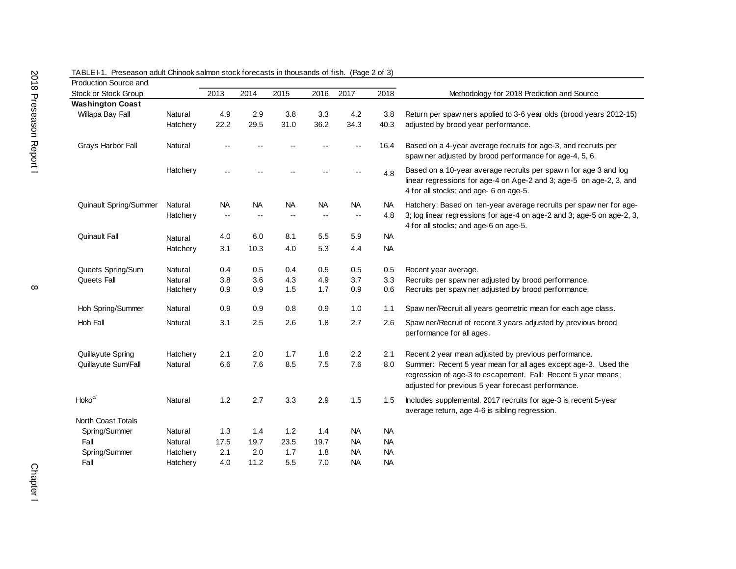| Production Source and       |          |                          |               |           |                          |                          |           |                                                                                                                                                                                       |
|-----------------------------|----------|--------------------------|---------------|-----------|--------------------------|--------------------------|-----------|---------------------------------------------------------------------------------------------------------------------------------------------------------------------------------------|
| <b>Stock or Stock Group</b> |          | 2013                     | 2014          | 2015      | 2016                     | 2017                     | 2018      | Methodology for 2018 Prediction and Source                                                                                                                                            |
| <b>Washington Coast</b>     |          |                          |               |           |                          |                          |           |                                                                                                                                                                                       |
| Willapa Bay Fall            | Natural  | 4.9                      | 2.9           | 3.8       | 3.3                      | 4.2                      | 3.8       | Return per spaw ners applied to 3-6 year olds (brood years 2012-15)                                                                                                                   |
|                             | Hatchery | 22.2                     | 29.5          | 31.0      | 36.2                     | 34.3                     | 40.3      | adjusted by brood year performance.                                                                                                                                                   |
|                             |          |                          |               |           |                          |                          |           |                                                                                                                                                                                       |
| Grays Harbor Fall           | Natural  |                          |               |           |                          |                          | 16.4      | Based on a 4-year average recruits for age-3, and recruits per<br>spaw ner adjusted by brood performance for age-4, 5, 6.                                                             |
|                             | Hatchery |                          |               |           |                          |                          | 4.8       | Based on a 10-year average recruits per spawn for age 3 and log<br>linear regressions for age-4 on Age-2 and 3; age-5 on age-2, 3, and<br>4 for all stocks; and age- 6 on age-5.      |
| Quinault Spring/Summer      | Natural  | <b>NA</b>                | <b>NA</b>     | <b>NA</b> | <b>NA</b>                | <b>NA</b>                | <b>NA</b> | Hatchery: Based on ten-year average recruits per spaw ner for age-                                                                                                                    |
|                             | Hatchery | $\overline{\phantom{a}}$ | $\sim$ $\sim$ |           | $\overline{\phantom{m}}$ | $\overline{\phantom{a}}$ | 4.8       | 3; log linear regressions for age-4 on age-2 and 3; age-5 on age-2, 3,<br>4 for all stocks; and age-6 on age-5.                                                                       |
| Quinault Fall               | Natural  | 4.0                      | 6.0           | 8.1       | 5.5                      | 5.9                      | <b>NA</b> |                                                                                                                                                                                       |
|                             | Hatchery | 3.1                      | 10.3          | 4.0       | 5.3                      | 4.4                      | <b>NA</b> |                                                                                                                                                                                       |
|                             |          |                          |               |           |                          |                          |           |                                                                                                                                                                                       |
| Queets Spring/Sum           | Natural  | 0.4                      | 0.5           | 0.4       | 0.5                      | 0.5                      | 0.5       | Recent year average.                                                                                                                                                                  |
| Queets Fall                 | Natural  | 3.8                      | 3.6           | 4.3       | 4.9                      | 3.7                      | 3.3       | Recruits per spaw ner adjusted by brood performance.                                                                                                                                  |
|                             | Hatchery | 0.9                      | 0.9           | 1.5       | 1.7                      | 0.9                      | 0.6       | Recruits per spaw ner adjusted by brood performance.                                                                                                                                  |
|                             |          |                          |               |           |                          |                          |           |                                                                                                                                                                                       |
| Hoh Spring/Summer           | Natural  | 0.9                      | 0.9           | 0.8       | 0.9                      | 1.0                      | 1.1       | Spaw ner/Recruit all years geometric mean for each age class.                                                                                                                         |
| Hoh Fall                    | Natural  | 3.1                      | 2.5           | 2.6       | 1.8                      | 2.7                      | 2.6       | Spaw ner/Recruit of recent 3 years adjusted by previous brood                                                                                                                         |
|                             |          |                          |               |           |                          |                          |           | performance for all ages.                                                                                                                                                             |
|                             |          |                          |               |           |                          |                          |           |                                                                                                                                                                                       |
| Quillayute Spring           | Hatchery | 2.1                      | 2.0           | 1.7       | 1.8                      | 2.2                      | 2.1       | Recent 2 year mean adjusted by previous performance.                                                                                                                                  |
| Quillayute Sum/Fall         | Natural  | 6.6                      | 7.6           | 8.5       | 7.5                      | 7.6                      | 8.0       | Summer: Recent 5 year mean for all ages except age-3. Used the<br>regression of age-3 to escapement. Fall: Recent 5 year means;<br>adjusted for previous 5 year forecast performance. |
| Hoko <sup>c/</sup>          | Natural  | 1.2                      | 2.7           | 3.3       | 2.9                      | 1.5                      | 1.5       | Includes supplemental. 2017 recruits for age-3 is recent 5-year<br>average return, age 4-6 is sibling regression.                                                                     |
| <b>North Coast Totals</b>   |          |                          |               |           |                          |                          |           |                                                                                                                                                                                       |
| Spring/Summer               | Natural  | 1.3                      | 1.4           | 1.2       | 1.4                      | <b>NA</b>                | <b>NA</b> |                                                                                                                                                                                       |
| Fall                        | Natural  | 17.5                     | 19.7          | 23.5      | 19.7                     | <b>NA</b>                | <b>NA</b> |                                                                                                                                                                                       |
| Spring/Summer               | Hatchery | 2.1                      | 2.0           | 1.7       | 1.8                      | <b>NA</b>                | <b>NA</b> |                                                                                                                                                                                       |
| Fall                        | Hatchery | 4.0                      | 11.2          | 5.5       | 7.0                      | ΝA                       | <b>NA</b> |                                                                                                                                                                                       |
|                             |          |                          |               |           |                          |                          |           |                                                                                                                                                                                       |

TABLE I-1. Preseason adult Chinook salmon stock forecasts in thousands of fish. (Page 2 of 3)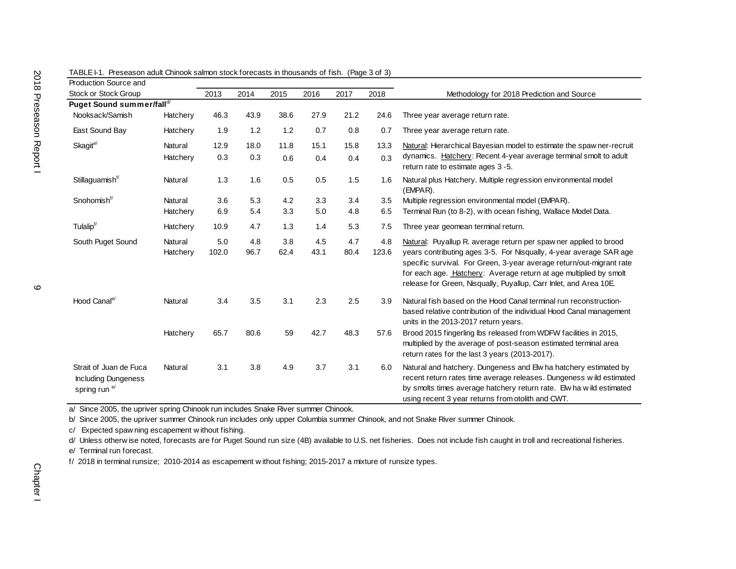| Production Source and                                                            |          |       |      |      |      |      |       |                                                                                                                                                                                                                                                                                      |
|----------------------------------------------------------------------------------|----------|-------|------|------|------|------|-------|--------------------------------------------------------------------------------------------------------------------------------------------------------------------------------------------------------------------------------------------------------------------------------------|
| Stock or Stock Group                                                             |          | 2013  | 2014 | 2015 | 2016 | 2017 | 2018  | Methodology for 2018 Prediction and Source                                                                                                                                                                                                                                           |
| Puget Sound summer/falld/                                                        |          |       |      |      |      |      |       |                                                                                                                                                                                                                                                                                      |
| Nooksack/Samish                                                                  | Hatchery | 46.3  | 43.9 | 38.6 | 27.9 | 21.2 | 24.6  | Three year average return rate.                                                                                                                                                                                                                                                      |
| East Sound Bay                                                                   | Hatchery | 1.9   | 1.2  | 1.2  | 0.7  | 0.8  | 0.7   | Three year average return rate.                                                                                                                                                                                                                                                      |
| Skagit <sup>e/</sup>                                                             | Natural  | 12.9  | 18.0 | 11.8 | 15.1 | 15.8 | 13.3  | Natural: Hierarchical Bayesian model to estimate the spaw ner-recruit                                                                                                                                                                                                                |
|                                                                                  | Hatchery | 0.3   | 0.3  | 0.6  | 0.4  | 0.4  | 0.3   | dynamics. Hatchery: Recent 4-year average terminal smolt to adult<br>return rate to estimate ages 3-5.                                                                                                                                                                               |
| Stillaguamish <sup>t/</sup>                                                      | Natural  | 1.3   | 1.6  | 0.5  | 0.5  | 1.5  | 1.6   | Natural plus Hatchery. Multiple regression environmental model<br>(EMPAR).                                                                                                                                                                                                           |
| Snohomish <sup>f/</sup>                                                          | Natural  | 3.6   | 5.3  | 4.2  | 3.3  | 3.4  | 3.5   | Multiple regression environmental model (EMPAR).                                                                                                                                                                                                                                     |
|                                                                                  | Hatchery | 6.9   | 5.4  | 3.3  | 5.0  | 4.8  | 6.5   | Terminal Run (to 8-2), with ocean fishing, Wallace Model Data.                                                                                                                                                                                                                       |
| Tulalip <sup>f/</sup>                                                            | Hatchery | 10.9  | 4.7  | 1.3  | 1.4  | 5.3  | 7.5   | Three year geomean terminal return.                                                                                                                                                                                                                                                  |
| South Puget Sound                                                                | Natural  | 5.0   | 4.8  | 3.8  | 4.5  | 4.7  | 4.8   | Natural: Puyallup R. average return per spaw ner applied to brood                                                                                                                                                                                                                    |
|                                                                                  | Hatchery | 102.0 | 96.7 | 62.4 | 43.1 | 80.4 | 123.6 | years contributing ages 3-5. For Nisqually, 4-year average SAR age<br>specific survival. For Green, 3-year average return/out-migrant rate<br>for each age. Hatchery: Average return at age multiplied by smolt<br>release for Green, Nisqually, Puyallup, Carr Inlet, and Area 10E. |
| Hood Canal <sup>e</sup>                                                          | Natural  | 3.4   | 3.5  | 3.1  | 2.3  | 2.5  | 3.9   | Natural fish based on the Hood Canal terminal run reconstruction-<br>based relative contribution of the individual Hood Canal management<br>units in the 2013-2017 return years.                                                                                                     |
|                                                                                  | Hatchery | 65.7  | 80.6 | 59   | 42.7 | 48.3 | 57.6  | Brood 2015 fingerling lbs released from WDFW facilities in 2015,<br>multiplied by the average of post-season estimated terminal area<br>return rates for the last 3 years (2013-2017).                                                                                               |
| Strait of Juan de Fuca<br><b>Including Dungeness</b><br>spring run <sup>e/</sup> | Natural  | 3.1   | 3.8  | 4.9  | 3.7  | 3.1  | 6.0   | Natural and hatchery. Dungeness and Elw ha hatchery estimated by<br>recent return rates time average releases. Dungeness wild estimated<br>by smolts times average hatchery return rate. Elw ha wild estimated<br>using recent 3 year returns from otolith and CWT.                  |

TABLE I-1. Preseason adult Chinook salmon stock forecasts in thousands of fish. (Page 3 of 3)

a/ Since 2005, the upriver spring Chinook run includes Snake River summer Chinook.

b/ Since 2005, the upriver summer Chinook run includes only upper Columbia summer Chinook, and not Snake River summer Chinook.

c/ Expected spaw ning escapement w ithout fishing.

d/ Unless otherw ise noted, forecasts are for Puget Sound run size (4B) available to U.S. net fisheries. Does not include fish caught in troll and recreational fisheries.

e/ Terminal run forecast.

f/ 2018 in terminal runsize; 2010-2014 as escapement w ithout fishing; 2015-2017 a mixture of runsize types.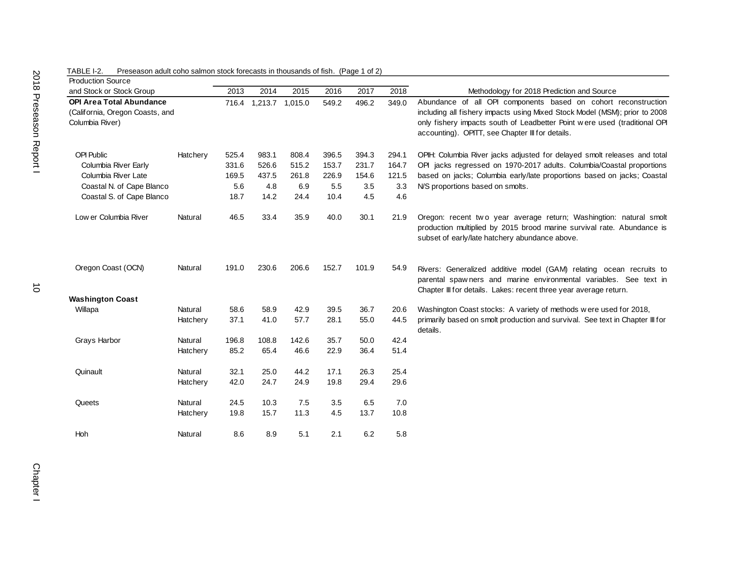| <b>Production Source</b>                                                              |          |       |                       |       |       |       |       |                                                                                                                                                                                                                                                                               |
|---------------------------------------------------------------------------------------|----------|-------|-----------------------|-------|-------|-------|-------|-------------------------------------------------------------------------------------------------------------------------------------------------------------------------------------------------------------------------------------------------------------------------------|
| and Stock or Stock Group                                                              |          | 2013  | 2014                  | 2015  | 2016  | 2017  | 2018  | Methodology for 2018 Prediction and Source                                                                                                                                                                                                                                    |
| <b>OPI Area Total Abundance</b><br>(California, Oregon Coasts, and<br>Columbia River) |          |       | 716.4 1,213.7 1,015.0 |       | 549.2 | 496.2 | 349.0 | Abundance of all OPI components based on cohort reconstruction<br>including all fishery impacts using Mixed Stock Model (MSM); prior to 2008<br>only fishery impacts south of Leadbetter Point were used (traditional OPI<br>accounting). OPITT, see Chapter III for details. |
| <b>OPI Public</b>                                                                     | Hatchery | 525.4 | 983.1                 | 808.4 | 396.5 | 394.3 | 294.1 | OPIH: Columbia River jacks adjusted for delayed smolt releases and total                                                                                                                                                                                                      |
| Columbia River Early                                                                  |          | 331.6 | 526.6                 | 515.2 | 153.7 | 231.7 | 164.7 | OPI jacks regressed on 1970-2017 adults. Columbia/Coastal proportions                                                                                                                                                                                                         |
| Columbia River Late                                                                   |          | 169.5 | 437.5                 | 261.8 | 226.9 | 154.6 | 121.5 | based on jacks; Columbia early/late proportions based on jacks; Coastal                                                                                                                                                                                                       |
| Coastal N. of Cape Blanco                                                             |          | 5.6   | 4.8                   | 6.9   | 5.5   | 3.5   | 3.3   | N/S proportions based on smolts.                                                                                                                                                                                                                                              |
| Coastal S. of Cape Blanco                                                             |          | 18.7  | 14.2                  | 24.4  | 10.4  | 4.5   | 4.6   |                                                                                                                                                                                                                                                                               |
| Low er Columbia River                                                                 | Natural  | 46.5  | 33.4                  | 35.9  | 40.0  | 30.1  | 21.9  | Oregon: recent two year average return; Washingtion: natural smolt<br>production multiplied by 2015 brood marine survival rate. Abundance is<br>subset of early/late hatchery abundance above.                                                                                |
| Oregon Coast (OCN)                                                                    | Natural  | 191.0 | 230.6                 | 206.6 | 152.7 | 101.9 | 54.9  | Rivers: Generalized additive model (GAM) relating ocean recruits to<br>parental spawners and marine environmental variables. See text in<br>Chapter III for details. Lakes: recent three year average return.                                                                 |
| <b>Washington Coast</b>                                                               |          |       |                       |       |       |       |       |                                                                                                                                                                                                                                                                               |
| Willapa                                                                               | Natural  | 58.6  | 58.9                  | 42.9  | 39.5  | 36.7  | 20.6  | Washington Coast stocks: A variety of methods w ere used for 2018,                                                                                                                                                                                                            |
|                                                                                       | Hatchery | 37.1  | 41.0                  | 57.7  | 28.1  | 55.0  | 44.5  | primarily based on smolt production and survival. See text in Chapter III for<br>details.                                                                                                                                                                                     |
| Grays Harbor                                                                          | Natural  | 196.8 | 108.8                 | 142.6 | 35.7  | 50.0  | 42.4  |                                                                                                                                                                                                                                                                               |
|                                                                                       | Hatchery | 85.2  | 65.4                  | 46.6  | 22.9  | 36.4  | 51.4  |                                                                                                                                                                                                                                                                               |
| Quinault                                                                              | Natural  | 32.1  | 25.0                  | 44.2  | 17.1  | 26.3  | 25.4  |                                                                                                                                                                                                                                                                               |
|                                                                                       | Hatchery | 42.0  | 24.7                  | 24.9  | 19.8  | 29.4  | 29.6  |                                                                                                                                                                                                                                                                               |
| Queets                                                                                | Natural  | 24.5  | 10.3                  | 7.5   | 3.5   | 6.5   | 7.0   |                                                                                                                                                                                                                                                                               |
|                                                                                       | Hatchery | 19.8  | 15.7                  | 11.3  | 4.5   | 13.7  | 10.8  |                                                                                                                                                                                                                                                                               |
| <b>Hoh</b>                                                                            | Natural  | 8.6   | 8.9                   | 5.1   | 2.1   | 6.2   | 5.8   |                                                                                                                                                                                                                                                                               |

TABLE I-2. Preseason adult coho salmon stock forecasts in thousands of fish. (Page 1 of 2)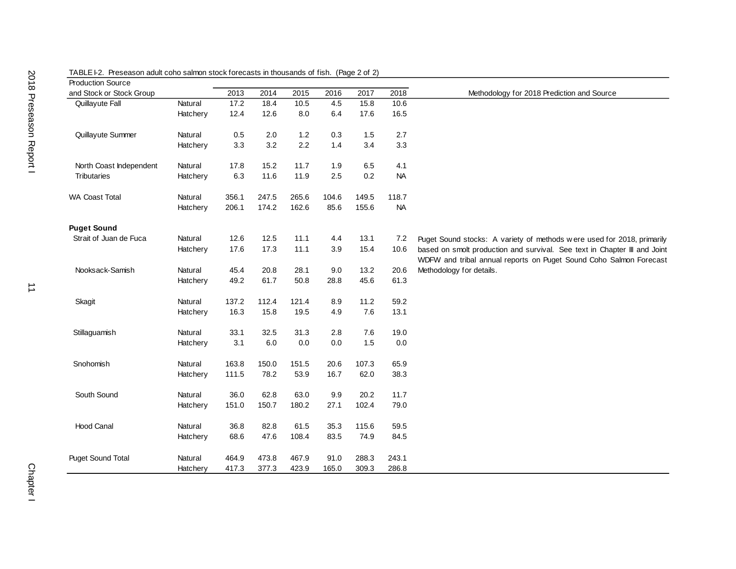| <b>Production Source</b> |          |       |       |         |       |       |           |                                                                                                                                                 |
|--------------------------|----------|-------|-------|---------|-------|-------|-----------|-------------------------------------------------------------------------------------------------------------------------------------------------|
| and Stock or Stock Group |          | 2013  | 2014  | 2015    | 2016  | 2017  | 2018      | Methodology for 2018 Prediction and Source                                                                                                      |
| Quillayute Fall          | Natural  | 17.2  | 18.4  | 10.5    | 4.5   | 15.8  | 10.6      |                                                                                                                                                 |
|                          | Hatchery | 12.4  | 12.6  | $8.0\,$ | 6.4   | 17.6  | 16.5      |                                                                                                                                                 |
| Quillayute Summer        | Natural  | 0.5   | 2.0   | $1.2$   | 0.3   | 1.5   | 2.7       |                                                                                                                                                 |
|                          | Hatchery | 3.3   | 3.2   | 2.2     | 1.4   | 3.4   | 3.3       |                                                                                                                                                 |
| North Coast Independent  | Natural  | 17.8  | 15.2  | 11.7    | 1.9   | 6.5   | 4.1       |                                                                                                                                                 |
| <b>Tributaries</b>       | Hatchery | 6.3   | 11.6  | 11.9    | 2.5   | 0.2   | <b>NA</b> |                                                                                                                                                 |
| <b>WA Coast Total</b>    | Natural  | 356.1 | 247.5 | 265.6   | 104.6 | 149.5 | 118.7     |                                                                                                                                                 |
|                          | Hatchery | 206.1 | 174.2 | 162.6   | 85.6  | 155.6 | <b>NA</b> |                                                                                                                                                 |
| <b>Puget Sound</b>       |          |       |       |         |       |       |           |                                                                                                                                                 |
| Strait of Juan de Fuca   | Natural  | 12.6  | 12.5  | 11.1    | 4.4   | 13.1  | 7.2       | Puget Sound stocks: A variety of methods were used for 2018, primarily                                                                          |
|                          | Hatchery | 17.6  | 17.3  | 11.1    | 3.9   | 15.4  | 10.6      | based on smolt production and survival. See text in Chapter III and Joint<br>WDFW and tribal annual reports on Puget Sound Coho Salmon Forecast |
| Nooksack-Samish          | Natural  | 45.4  | 20.8  | 28.1    | 9.0   | 13.2  | 20.6      | Methodology for details.                                                                                                                        |
|                          | Hatchery | 49.2  | 61.7  | 50.8    | 28.8  | 45.6  | 61.3      |                                                                                                                                                 |
| Skagit                   | Natural  | 137.2 | 112.4 | 121.4   | 8.9   | 11.2  | 59.2      |                                                                                                                                                 |
|                          | Hatchery | 16.3  | 15.8  | 19.5    | 4.9   | 7.6   | 13.1      |                                                                                                                                                 |
| Stillaguamish            | Natural  | 33.1  | 32.5  | 31.3    | 2.8   | 7.6   | 19.0      |                                                                                                                                                 |
|                          | Hatchery | 3.1   | 6.0   | 0.0     | 0.0   | 1.5   | 0.0       |                                                                                                                                                 |
| Snohomish                | Natural  | 163.8 | 150.0 | 151.5   | 20.6  | 107.3 | 65.9      |                                                                                                                                                 |
|                          | Hatchery | 111.5 | 78.2  | 53.9    | 16.7  | 62.0  | 38.3      |                                                                                                                                                 |
| South Sound              | Natural  | 36.0  | 62.8  | 63.0    | 9.9   | 20.2  | 11.7      |                                                                                                                                                 |
|                          | Hatchery | 151.0 | 150.7 | 180.2   | 27.1  | 102.4 | 79.0      |                                                                                                                                                 |
| <b>Hood Canal</b>        | Natural  | 36.8  | 82.8  | 61.5    | 35.3  | 115.6 | 59.5      |                                                                                                                                                 |
|                          | Hatchery | 68.6  | 47.6  | 108.4   | 83.5  | 74.9  | 84.5      |                                                                                                                                                 |
| <b>Puget Sound Total</b> | Natural  | 464.9 | 473.8 | 467.9   | 91.0  | 288.3 | 243.1     |                                                                                                                                                 |
|                          | Hatchery | 417.3 | 377.3 | 423.9   | 165.0 | 309.3 | 286.8     |                                                                                                                                                 |

## TABLE I-2. Preseason adult coho salmon stock forecasts in thousands of fish. (Page 2 of 2)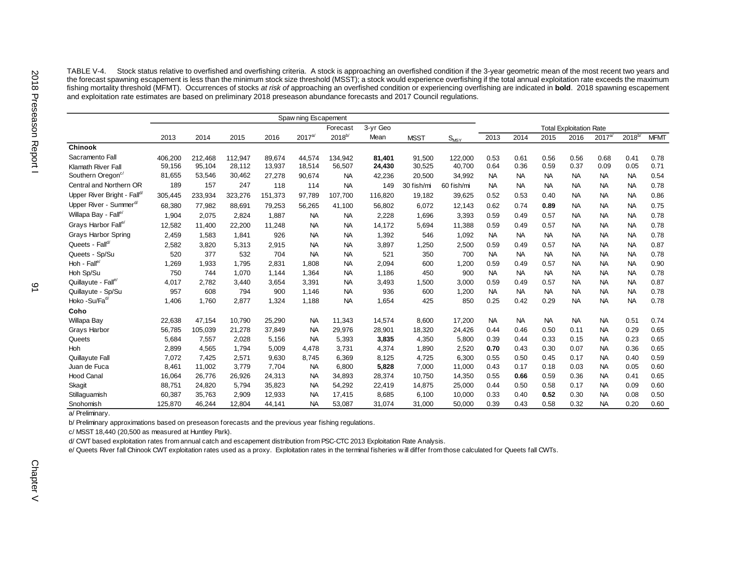TABLE V-4. Stock status relative to overfished and overfishing criteria. A stock is approaching an overfished condition if the 3-year geometric mean of the most recent two years and the forecast spawning escapement is less than the minimum stock size threshold (MSST); a stock would experience overfishing if the total annual exploitation rate exceeds the maximum stock size threshold (MSST); a stock wou fishing mortality threshold (MFMT). Occurrences of stocks *at risk of* approaching an overfished condition or experiencing overfishing are indicated in **bold**. 2018 spawning escapement and exploitation rate estimates are based on preliminary 2018 preseason abundance forecasts and 2017 Council regulations.

|                                         | Spaw ning Escapement |         |         |         |             |             |          |             |                  |           |           |           |                                |             |             |             |
|-----------------------------------------|----------------------|---------|---------|---------|-------------|-------------|----------|-------------|------------------|-----------|-----------|-----------|--------------------------------|-------------|-------------|-------------|
|                                         |                      |         |         |         |             | Forecast    | 3-yr Geo |             |                  |           |           |           | <b>Total Exploitation Rate</b> |             |             |             |
|                                         | 2013                 | 2014    | 2015    | 2016    | $2017^{a/}$ | $2018^{b/}$ | Mean     | <b>MSST</b> | $S_{\text{MSY}}$ | 2013      | 2014      | 2015      | 2016                           | $2017^{a/}$ | $2018^{b/}$ | <b>MFMT</b> |
| <b>Chinook</b>                          |                      |         |         |         |             |             |          |             |                  |           |           |           |                                |             |             |             |
| Sacramento Fall                         | 406,200              | 212,468 | 112,947 | 89.674  | 44,574      | 134,942     | 81,401   | 91,500      | 122,000          | 0.53      | 0.61      | 0.56      | 0.56                           | 0.68        | 0.41        | 0.78        |
| <b>Klamath River Fall</b>               | 59,156               | 95,104  | 28,112  | 13,937  | 18,514      | 56,507      | 24,430   | 30,525      | 40,700           | 0.64      | 0.36      | 0.59      | 0.37                           | 0.09        | 0.05        | 0.71        |
| Southern Oregon <sup>c/</sup>           | 81,655               | 53,546  | 30,462  | 27,278  | 90,674      | <b>NA</b>   | 42,236   | 20,500      | 34,992           | <b>NA</b> | <b>NA</b> | <b>NA</b> | <b>NA</b>                      | <b>NA</b>   | <b>NA</b>   | 0.54        |
| Central and Northern OR                 | 189                  | 157     | 247     | 118     | 114         | <b>NA</b>   | 149      | 30 fish/mi  | 60 fish/mi       | <b>NA</b> | <b>NA</b> | <b>NA</b> | <b>NA</b>                      | <b>NA</b>   | <b>NA</b>   | 0.78        |
| Upper River Bright - Fall <sup>d/</sup> | 305,445              | 233,934 | 323,276 | 151,373 | 97,789      | 107,700     | 116,820  | 19,182      | 39,625           | 0.52      | 0.53      | 0.40      | <b>NA</b>                      | <b>NA</b>   | <b>NA</b>   | 0.86        |
| Upper River - Summer <sup>d/</sup>      | 68,380               | 77,982  | 88,691  | 79,253  | 56,265      | 41,100      | 56,802   | 6,072       | 12,143           | 0.62      | 0.74      | 0.89      | <b>NA</b>                      | <b>NA</b>   | <b>NA</b>   | 0.75        |
| Willapa Bay - Fall <sup>e/</sup>        | 1,904                | 2,075   | 2,824   | 1,887   | <b>NA</b>   | <b>NA</b>   | 2,228    | 1,696       | 3,393            | 0.59      | 0.49      | 0.57      | <b>NA</b>                      | <b>NA</b>   | <b>NA</b>   | 0.78        |
| Grays Harbor Falle/                     | 12,582               | 11,400  | 22,200  | 11,248  | <b>NA</b>   | <b>NA</b>   | 14,172   | 5,694       | 11,388           | 0.59      | 0.49      | 0.57      | <b>NA</b>                      | <b>NA</b>   | <b>NA</b>   | 0.78        |
| <b>Grays Harbor Spring</b>              | 2,459                | 1,583   | 1,841   | 926     | <b>NA</b>   | <b>NA</b>   | 1,392    | 546         | 1,092            | <b>NA</b> | <b>NA</b> | <b>NA</b> | <b>NA</b>                      | <b>NA</b>   | <b>NA</b>   | 0.78        |
| Queets - Falld/                         | 2,582                | 3,820   | 5,313   | 2,915   | <b>NA</b>   | <b>NA</b>   | 3,897    | 1,250       | 2,500            | 0.59      | 0.49      | 0.57      | <b>NA</b>                      | <b>NA</b>   | <b>NA</b>   | 0.87        |
| Queets - Sp/Su                          | 520                  | 377     | 532     | 704     | <b>NA</b>   | <b>NA</b>   | 521      | 350         | 700              | <b>NA</b> | <b>NA</b> | <b>NA</b> | <b>NA</b>                      | <b>NA</b>   | <b>NA</b>   | 0.78        |
| Hoh - Fall <sup>e</sup>                 | 1,269                | 1,933   | 1,795   | 2,831   | 1,808       | <b>NA</b>   | 2,094    | 600         | 1,200            | 0.59      | 0.49      | 0.57      | <b>NA</b>                      | <b>NA</b>   | <b>NA</b>   | 0.90        |
| Hoh Sp/Su                               | 750                  | 744     | 1,070   | 1,144   | 1,364       | <b>NA</b>   | 1,186    | 450         | 900              | <b>NA</b> | <b>NA</b> | <b>NA</b> | <b>NA</b>                      | <b>NA</b>   | <b>NA</b>   | 0.78        |
| Quillayute - Falle                      | 4,017                | 2,782   | 3,440   | 3,654   | 3,391       | <b>NA</b>   | 3,493    | 1,500       | 3,000            | 0.59      | 0.49      | 0.57      | <b>NA</b>                      | <b>NA</b>   | <b>NA</b>   | 0.87        |
| Quillayute - Sp/Su                      | 957                  | 608     | 794     | 900     | 1,146       | <b>NA</b>   | 936      | 600         | 1,200            | <b>NA</b> | <b>NA</b> | <b>NA</b> | <b>NA</b>                      | <b>NA</b>   | <b>NA</b>   | 0.78        |
| Hoko -Su/Fa <sup>d/</sup>               | 1,406                | 1,760   | 2,877   | 1,324   | 1,188       | <b>NA</b>   | 1,654    | 425         | 850              | 0.25      | 0.42      | 0.29      | <b>NA</b>                      | <b>NA</b>   | <b>NA</b>   | 0.78        |
| Coho                                    |                      |         |         |         |             |             |          |             |                  |           |           |           |                                |             |             |             |
| Willapa Bay                             | 22,638               | 47.154  | 10,790  | 25,290  | <b>NA</b>   | 11,343      | 14,574   | 8,600       | 17,200           | <b>NA</b> | <b>NA</b> | <b>NA</b> | <b>NA</b>                      | <b>NA</b>   | 0.51        | 0.74        |
| Grays Harbor                            | 56,785               | 105,039 | 21,278  | 37,849  | <b>NA</b>   | 29,976      | 28,901   | 18,320      | 24,426           | 0.44      | 0.46      | 0.50      | 0.11                           | <b>NA</b>   | 0.29        | 0.65        |
| Queets                                  | 5,684                | 7,557   | 2,028   | 5,156   | <b>NA</b>   | 5,393       | 3,835    | 4,350       | 5,800            | 0.39      | 0.44      | 0.33      | 0.15                           | <b>NA</b>   | 0.23        | 0.65        |
| <b>Hoh</b>                              | 2,899                | 4,565   | 1,794   | 5,009   | 4,478       | 3,731       | 4,374    | 1,890       | 2,520            | 0.70      | 0.43      | 0.30      | 0.07                           | <b>NA</b>   | 0.36        | 0.65        |
| Quillayute Fall                         | 7,072                | 7,425   | 2,571   | 9,630   | 8,745       | 6,369       | 8,125    | 4,725       | 6,300            | 0.55      | 0.50      | 0.45      | 0.17                           | <b>NA</b>   | 0.40        | 0.59        |
| Juan de Fuca                            | 8,461                | 11,002  | 3,779   | 7,704   | <b>NA</b>   | 6,800       | 5,828    | 7,000       | 11,000           | 0.43      | 0.17      | 0.18      | 0.03                           | <b>NA</b>   | 0.05        | 0.60        |
| <b>Hood Canal</b>                       | 16,064               | 26,776  | 26,926  | 24,313  | <b>NA</b>   | 34,893      | 28,374   | 10,750      | 14,350           | 0.55      | 0.66      | 0.59      | 0.36                           | <b>NA</b>   | 0.41        | 0.65        |
| Skagit                                  | 88,751               | 24,820  | 5,794   | 35,823  | <b>NA</b>   | 54,292      | 22,419   | 14,875      | 25,000           | 0.44      | 0.50      | 0.58      | 0.17                           | <b>NA</b>   | 0.09        | 0.60        |
| Stillaguamish                           | 60,387               | 35,763  | 2,909   | 12,933  | <b>NA</b>   | 17,415      | 8,685    | 6,100       | 10,000           | 0.33      | 0.40      | 0.52      | 0.30                           | <b>NA</b>   | 0.08        | 0.50        |
| Snohomish                               | 125,870              | 46,244  | 12,804  | 44,141  | <b>NA</b>   | 53,087      | 31,074   | 31,000      | 50,000           | 0.39      | 0.43      | 0.58      | 0.32                           | <b>NA</b>   | 0.20        | 0.60        |

a/ Preliminary.

b/ Preliminary approximations based on preseason forecasts and the previous year fishing regulations.

c/ MSST 18,440 (20,500 as measured at Huntley Park).

d/ CWT based exploitation rates from annual catch and escapement distribution from PSC-CTC 2013 Exploitation Rate Analysis.

e/ Queets River fall Chinook CWT exploitation rates used as a proxy. Exploitation rates in the terminal fisheries w ill differ from those calculated for Queets fall CWTs.